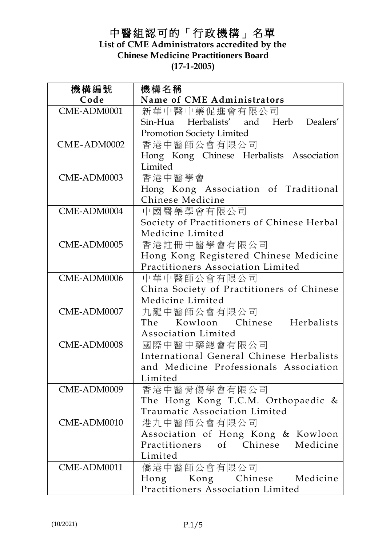# 中醫組認可的「行政機構」名單 **List of CME Administrators accredited by the Chinese Medicine Practitioners Board (17-1-2005)**

| 機構編號        | 機構名稱                                               |
|-------------|----------------------------------------------------|
| Code        | Name of CME Administrators                         |
| CME-ADM0001 | 新華中醫中藥促進會有限公司                                      |
|             | Sin-Hua Herbalists' and Herb Dealers'              |
|             | <b>Promotion Society Limited</b>                   |
| CME-ADM0002 | 香港中醫師公會有限公司                                        |
|             | Hong Kong Chinese Herbalists Association           |
|             | Limited                                            |
| CME-ADM0003 | 香港中醫學會                                             |
|             | Hong Kong Association of Traditional               |
|             | Chinese Medicine                                   |
| CME-ADM0004 | 中國醫藥學會有限公司                                         |
|             | Society of Practitioners of Chinese Herbal         |
|             | Medicine Limited                                   |
| CME-ADM0005 | 香港註冊中醫學會有限公司                                       |
|             | Hong Kong Registered Chinese Medicine              |
|             | Practitioners Association Limited                  |
| CME-ADM0006 | 中華中醫師公會有限公司                                        |
|             | China Society of Practitioners of Chinese          |
|             | Medicine Limited                                   |
| CME-ADM0007 | 九龍中醫師公會有限公司                                        |
|             | The Kowloon Chinese Herbalists                     |
|             | Association Limited                                |
| CME-ADM0008 | 國際中醫中藥總會有限公司                                       |
|             | International General Chinese Herbalists           |
|             | and Medicine Professionals Association<br>Limited  |
| CME-ADM0009 |                                                    |
|             | 香港中醫骨傷學會有限公司<br>The Hong Kong T.C.M. Orthopaedic & |
|             | Traumatic Association Limited                      |
| CME-ADM0010 | 港九中醫師公會有限公司                                        |
|             | Association of Hong Kong & Kowloon                 |
|             | Practitioners of Chinese Medicine                  |
|             | Limited                                            |
| CME-ADM0011 | 僑港中醫師公會有限公司                                        |
|             | Hong Kong Chinese Medicine                         |
|             | Practitioners Association Limited                  |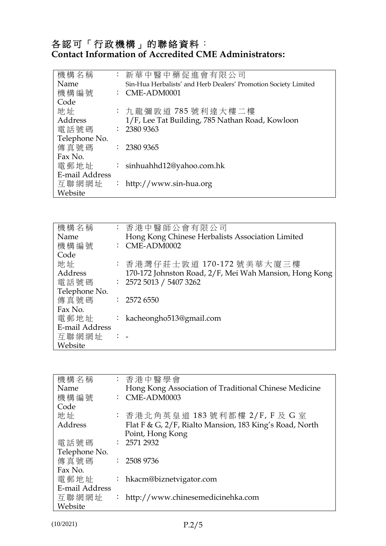| 機構名稱           | : 新華中醫中藥促進會有限公司                                                 |
|----------------|-----------------------------------------------------------------|
| Name           | Sin-Hua Herbalists' and Herb Dealers' Promotion Society Limited |
| 機構編號           | $\therefore$ CME-ADM0001                                        |
| Code           |                                                                 |
| 地址             | : 九龍彌敦道 785 號利達大樓二樓                                             |
| Address        | 1/F, Lee Tat Building, 785 Nathan Road, Kowloon                 |
| 電話號碼           | $\therefore$ 2380 9363                                          |
| Telephone No.  |                                                                 |
| 傳真號碼           | $\therefore$ 2380 9365                                          |
| Fax No.        |                                                                 |
| 電郵地址           | : sinhuahhd12@yahoo.com.hk                                      |
| E-mail Address |                                                                 |
| 互聯網網址          | : http://www.sin-hua.org                                        |
| Website        |                                                                 |

| 機構名稱           |          | : 香港中醫師公會有限公司                                          |
|----------------|----------|--------------------------------------------------------|
| Name           |          | Hong Kong Chinese Herbalists Association Limited       |
| 機構編號           |          | $:$ CME-ADM0002                                        |
| Code           |          |                                                        |
| 地址             |          | : 香港灣仔莊士敦道 170-172 號美華大廈三樓                             |
| Address        |          | 170-172 Johnston Road, 2/F, Mei Wah Mansion, Hong Kong |
| 電話號碼           |          | : 25725013 / 54073262                                  |
| Telephone No.  |          |                                                        |
| 傳真號碼           |          | $\therefore$ 2572 6550                                 |
| Fax No.        |          |                                                        |
| 電郵地址           |          | : kacheongho513@gmail.com                              |
| E-mail Address |          |                                                        |
| 互聯網網址          | $\cdots$ |                                                        |
| Website        |          |                                                        |

| 機構名稱           | : 香港中醫學會                                                |
|----------------|---------------------------------------------------------|
| Name           | Hong Kong Association of Traditional Chinese Medicine   |
| 機構編號           | $:$ CME-ADM0003                                         |
| Code           |                                                         |
| 地址             | : 香港北角英皇道 183 號利都樓 2/F, F 及 G 室                         |
| Address        | Flat F & G, 2/F, Rialto Mansion, 183 King's Road, North |
|                | Point, Hong Kong                                        |
| 電話號碼           | : 25712932                                              |
| Telephone No.  |                                                         |
| 傳真號碼           | $\therefore$ 2508 9736                                  |
| Fax No.        |                                                         |
| 電郵地址           | : hkacm@biznetvigator.com                               |
| E-mail Address |                                                         |
| 互聯網網址          | : http://www.chinesemedicinehka.com                     |
| Website        |                                                         |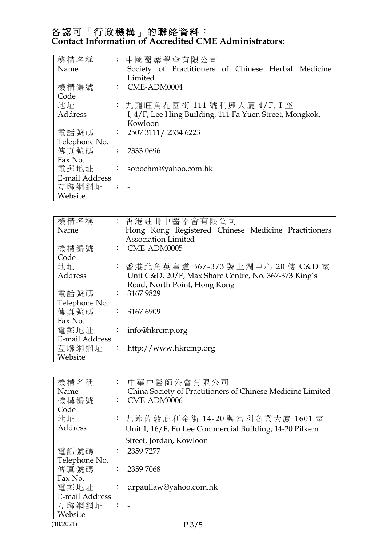| 機構名稱           |                | : 中國醫藥學會有限公司                                            |
|----------------|----------------|---------------------------------------------------------|
| Name           |                | Society of Practitioners of Chinese Herbal Medicine     |
|                |                | Limited                                                 |
| 機構編號           |                | $\therefore$ CME-ADM0004                                |
| Code           |                |                                                         |
| 地址             |                | : 九龍旺角花園街 111 號利興大廈 4/F, I 座                            |
| Address        |                | I, 4/F, Lee Hing Building, 111 Fa Yuen Street, Mongkok, |
|                |                | Kowloon                                                 |
| 電話號碼           |                | : 25073111 / 23346223                                   |
| Telephone No.  |                |                                                         |
| 傳真號碼           |                | $\therefore$ 2333 0696                                  |
| Fax No.        |                |                                                         |
| 電郵地址           |                | $\therefore$ sopochm@yahoo.com.hk                       |
| E-mail Address |                |                                                         |
| 互聯網網址          | $\mathbb{R}^n$ |                                                         |
| Website        |                |                                                         |

| 機構名稱           | : 香港註冊中醫學會有限公司                                       |
|----------------|------------------------------------------------------|
| Name           | Hong Kong Registered Chinese Medicine Practitioners  |
|                | <b>Association Limited</b>                           |
| 機構編號           | $\therefore$ CME-ADM0005                             |
| Code           |                                                      |
| 地址             | : 香港北角英皇道 367-373 號上潤中心 20 樓 C&D 室                   |
| Address        | Unit C&D, 20/F, Max Share Centre, No. 367-373 King's |
|                | Road, North Point, Hong Kong                         |
| 電話號碼           | $\therefore$ 3167 9829                               |
| Telephone No.  |                                                      |
| 傳真號碼           | : 31676909                                           |
| Fax No.        |                                                      |
| 電郵地址           | : info@hkrcmp.org                                    |
| E-mail Address |                                                      |
| 互聯網網址          | : http://www.hkrcmp.org                              |
| Website        |                                                      |

| 機構名稱             |                      | : 中華中醫師公會有限公司                                              |
|------------------|----------------------|------------------------------------------------------------|
| Name             |                      | China Society of Practitioners of Chinese Medicine Limited |
| 機構編號             |                      | $\therefore$ CME-ADM0006                                   |
| Code             |                      |                                                            |
| 地址               |                      | : 九龍佐敦庇利金街 14-20 號富利商業大廈 1601 室                            |
| Address          |                      | Unit 1, 16/F, Fu Lee Commercial Building, 14-20 Pilkem     |
|                  |                      | Street, Jordan, Kowloon                                    |
| 電話號碼             |                      | $\therefore$ 2359 7277                                     |
| Telephone No.    |                      |                                                            |
| 傳真號碼 : 2359 7068 |                      |                                                            |
| Fax No.          |                      |                                                            |
| 電郵地址             | $\ddot{\phantom{0}}$ | drpaullaw@yahoo.com.hk                                     |
| E-mail Address   |                      |                                                            |
| 互聯網網址            | $\therefore$         |                                                            |
| Website          |                      |                                                            |
| (10/2021)        |                      | P.3/5                                                      |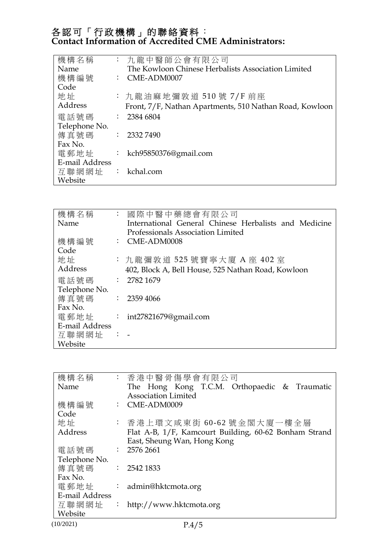| 機構名稱             | : 九龍中醫師公會有限公司                                           |
|------------------|---------------------------------------------------------|
| Name             | The Kowloon Chinese Herbalists Association Limited      |
| 機構編號             | $\therefore$ CME-ADM0007                                |
| Code             |                                                         |
| 地址               | : 九龍油麻地彌敦道 510號 7/F 前座                                  |
| Address          | Front, 7/F, Nathan Apartments, 510 Nathan Road, Kowloon |
| 電話號碼             | $\therefore$ 2384 6804                                  |
| Telephone No.    |                                                         |
| 傳真號碼 : 2332 7490 |                                                         |
| Fax No.          |                                                         |
| 電郵地址             | : kch95850376@gmail.com                                 |
| E-mail Address   |                                                         |
| 互聯網網址            | : kchal.com                                             |
| Website          |                                                         |

| 機構名稱           | : 國際中醫中藥總會有限公司                                        |
|----------------|-------------------------------------------------------|
| Name           | International General Chinese Herbalists and Medicine |
|                | <b>Professionals Association Limited</b>              |
| 機構編號           | $\therefore$ CME-ADM0008                              |
| Code           |                                                       |
| 地址             | : 九龍彌敦道 525 號寶寧大廈 A 座 402 室                           |
| Address        | 402, Block A, Bell House, 525 Nathan Road, Kowloon    |
| 電話號碼           | $\therefore$ 2782 1679                                |
| Telephone No.  |                                                       |
| 傳真號碼           | : 23594066                                            |
| Fax No.        |                                                       |
| 電郵地址           | : int27821679@gmail.com                               |
| E-mail Address |                                                       |
| 互聯網網址          |                                                       |
| Website        |                                                       |

| 機構名稱             | : 香港中醫骨傷學會有限公司                                        |
|------------------|-------------------------------------------------------|
| Name             | The Hong Kong T.C.M. Orthopaedic & Traumatic          |
|                  | <b>Association Limited</b>                            |
| 機構編號             | $\therefore$ CME-ADM0009                              |
| Code             |                                                       |
| 地址               | : 香港上環文咸東街 60-62 號金閣大廈一樓全層                            |
| Address          | Flat A-B, 1/F, Kamcourt Building, 60-62 Bonham Strand |
|                  | East, Sheung Wan, Hong Kong                           |
| 電話號碼             | $\therefore$ 2576 2661                                |
| Telephone No.    |                                                       |
| 傳真號碼 : 2542 1833 |                                                       |
| Fax No.          |                                                       |
| 電郵地址             | : admin@hktcmota.org                                  |
| E-mail Address   |                                                       |
| 互聯網網址            | : http://www.hktcmota.org                             |
| Website          |                                                       |
| (10/2021)        | P.4/5                                                 |